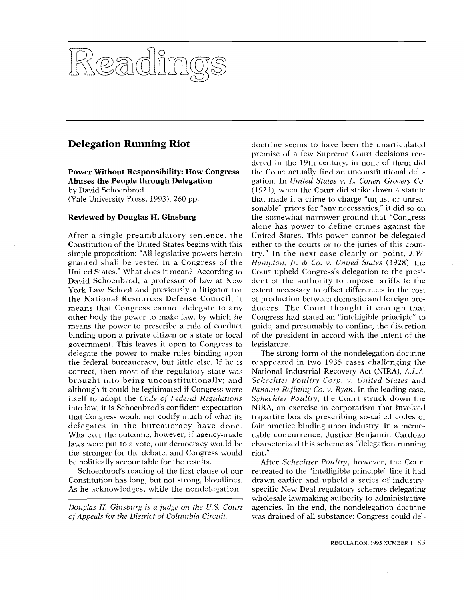# Keadin

# Delegation Running Riot

Power Without Responsibility: How Congress the Abuses the People through Delegation by David Schoenbrod (Yale University Press, 1993), 260 pp.

## Reviewed by Douglas H. Ginsburg

binding upon a private citizen or a state or local of t means that Congress cannot delegate to any duc granted shall be vested in a Congress of the Han After a single preambulatory sentence, the Constitution of the United States begins with this simple proposition: "All legislative powers herein United States." What does it mean? According to David Schoenbrod, a professor of law at New York Law School and previously a litigator for the National Resources Defense Council, it other body the power to make law, by which he means the power to prescribe a rule of conduct government. This leaves it open to Congress to delegate the power to make rules binding upon the federal bureaucracy, but little else. If he is correct, then most of the regulatory state was brought into being unconstitutionally; and although it could be legitimated if Congress were itself to adopt the Code of Federal Regulations into law, it is Schoenbrod's confident expectation that Congress would not codify much of what its delegates in the bureaucracy have done. Whatever the outcome, however, if agency-made laws were put to a vote, our democracy would be the stronger for the debate, and Congress would be politically accountable for the results.

Schoenbrod's reading of the first clause of our Constitution has long, but not strong, bloodlines. As he acknowledges, while the nondelegation

Douglas H. Ginsburg is a judge on the U.S. Court of Appeals for the District of Columbia Circuit.

either to the courts or to the juries of this country." In the next case clearly on point,  $J.W.$  Hampton,  $Jr.$  &  $Co.$   $v.$  United States (1928), the (1921), when the Court did strike down a statute extent necessary to offset differences in the cost the somewhat narrower ground that "Congress doctrine seems to have been the unarticulated premise of a few Supreme Court decisions rendered in the 19th century, in none of them did the Court actually find an unconstitutional delegation. In United States v. L. Cohen Grocery Co. that made it a crime to charge "unjust or unreasonable" prices for "any necessaries," it did so on alone has power to define crimes against the United States. This power cannot be delegated try." In the next case clearly on point, J.W. Hampton, Jr. & Co. v. United States (1928), the Court upheld Congress's delegation to the president of the authority to impose tariffs to the of production between domestic and foreign producers. The Court thought it enough that Congress had stated an "intelligible principle" to guide, and presumably to confine, the discretion of the president in accord with the intent of the legislature.

d it is the rind of the control of the control of the control of the control of the control of the control of the control of the control of the control of the control of the control of the control of the control of the con tripartite boards prescribing so-called codes of fair practice binding upon industry. In a memothe president in accord with the intent of the<br>
strong form of the nondelegation doctrine<br>
anneared in two 1935 cases challenging the Schechter Poultry Corp. v. United States and reappeared in two 1935 cases challenging the National Industrial Recovery Act (NIRA), A.L.A. Panama Refining Co. v. Ryan. In the leading case, Schechter Poultry, the Court struck down the NIRA, an exercise in corporatism that involved rable concurrence, Justice Benjamin Cardozo characterized this scheme as "delegation running riot."

wholesale lawmaking authority to administrative гои<br>ellig<br>uph After Schechter Poultry, however, the Court agencies. In the end, the nondelegation doctrine .^' retreated to the "intelligible principle" line it had drawn earlier and upheld a series of industryspecific New Deal regulatory schemes delegating was drained of all substance: Congress could del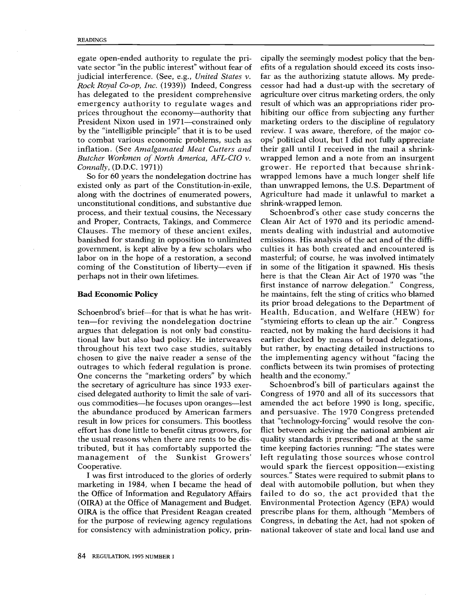egate open-ended authority to regulate the private sector "in the public interest" without fear of judicial interference. (See, e.g., United States v. Rock Royal Co-op, Inc. (1939)) Indeed, Congress has delegated to the president comprehensive emergency authority to regulate wages and prices throughout the economy—authority that President Nixon used in 1971-constrained only by the "intelligible principle" that it is to be used to combat various economic problems, such as inflation. (See Amalgamated Meat Cutters and Butcher Workmen of North America. AFL-CIO v. Connally, (D.D.C. 1971))

So for 60 years the nondelegation doctrine has existed only as part of the Constitution-in-exile, along with the doctrines of enumerated powers, unconstitutional conditions, and substantive due process, and their textual cousins, the Necessary and Proper, Contracts, Takings, and Commerce Clauses. The memory of these ancient exiles. banished for standing in opposition to unlimited government, is kept alive by a few scholars who labor on in the hope of a restoration, a second coming of the Constitution of liberty---even if perhaps not in their own lifetimes.

#### **Bad Economic Policy**

Schoenbrod's brief-for that is what he has written—for reviving the nondelegation doctrine argues that delegation is not only bad constitutional law but also bad policy. He interweaves throughout his text two case studies, suitably chosen to give the naive reader a sense of the outrages to which federal regulation is prone. One concerns the "marketing orders" by which the secretary of agriculture has since 1933 exercised delegated authority to limit the sale of various commodities—he focuses upon oranges—lest the abundance produced by American farmers result in low prices for consumers. This bootless effort has done little to benefit citrus growers, for the usual reasons when there are rents to be distributed, but it has comfortably supported the management of the Sunkist Growers' Cooperative.

I was first introduced to the glories of orderly marketing in 1984, when I became the head of the Office of Information and Regulatory Affairs (OIRA) at the Office of Management and Budget. OIRA is the office that President Reagan created for the purpose of reviewing agency regulations for consistency with administration policy, prin-

cipally the seemingly modest policy that the benefits of a regulation should exceed its costs insofar as the authorizing statute allows. My predecessor had had a dust-up with the secretary of agriculture over citrus marketing orders, the only result of which was an appropriations rider prohibiting our office from subjecting any further marketing orders to the discipline of regulatory review. I was aware, therefore, of the major coops' political clout, but I did not fully appreciate their gall until I received in the mail a shrinkwrapped lemon and a note from an insurgent grower. He reported that because shrinkwrapped lemons have a much longer shelf life than unwrapped lemons, the U.S. Department of Agriculture had made it unlawful to market a shrink-wrapped lemon.

Schoenbrod's other case study concerns the Clean Air Act of 1970 and its periodic amendments dealing with industrial and automotive emissions. His analysis of the act and of the difficulties it has both created and encountered is masterful; of course, he was involved intimately in some of the litigation it spawned. His thesis here is that the Clean Air Act of 1970 was "the first instance of narrow delegation." Congress, he maintains, felt the sting of critics who blamed its prior broad delegations to the Department of Health, Education, and Welfare (HEW) for "stymieing efforts to clean up the air." Congress reacted, not by making the hard decisions it had earlier ducked by means of broad delegations. but rather, by enacting detailed instructions to the implementing agency without "facing the conflicts between its twin promises of protecting health and the economy."

Schoenbrod's bill of particulars against the Congress of 1970 and all of its successors that amended the act before 1990 is long, specific, and persuasive. The 1970 Congress pretended that "technology-forcing" would resolve the conflict between achieving the national ambient air quality standards it prescribed and at the same time keeping factories running: "The states were left regulating those sources whose control would spark the fiercest opposition—existing sources." States were required to submit plans to deal with automobile pollution, but when they failed to do so, the act provided that the Environmental Protection Agency (EPA) would prescribe plans for them, although "Members of Congress, in debating the Act, had not spoken of national takeover of state and local land use and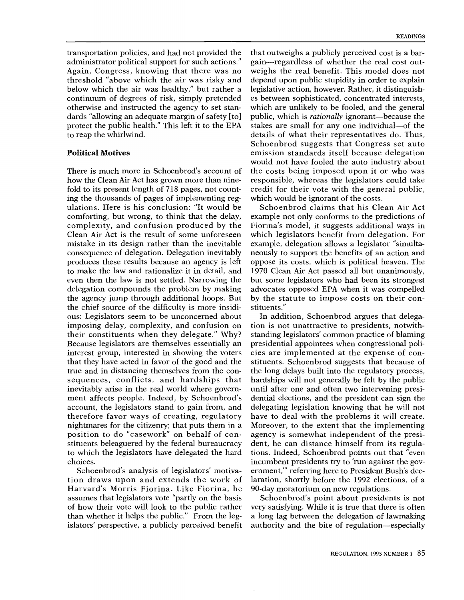`3' otherwise and instructed the agency to set stantransportation policies, and had not provided the administrator political support for such actions." Again, Congress, knowing that there was no threshold "above which the air was risky and below which the air was healthy," but rather a continuum of degrees of risk, simply pretended dards "allowing an adequate margin of safety [to] protect the public health." This left it to the EPA to reap the whirlwind.

# Political Motives

ent<br>hic<br>ces ing the thousands of pages of implementing regthe agency jump through additional hoops. But by ulations. Here is his conclusion: "It would be S Clean Air Act is the result of some unforeseen whi th 2011 in out bot explain m period single Vii ,O, how the Clean Air Act has grown more than nine- $\frac{d}{dt}$  they have acted in favor of the good and the  $\frac{d}{dt}$  stitu sequences, conflicts, and hardships that hard There is much more in Schoenbrod's account of fold to its present length of 718 pages, not countcomforting, but wrong, to think that the delay, complexity, and confusion produced by the mistake in its design rather than the inevitable consequence of delegation. Delegation inevitably produces these results because an agency is left to make the law and rationalize it in detail, and even then the law is not settled. Narrowing the delegation compounds the problem by making the chief source of the difficulty is more insidious: Legislators seem to be unconcerned about imposing delay, complexity, and confusion on their constituents when they delegate." Why? Because legislators are themselves essentially an interest group, interested in showing the voters true and in distancing themselves from the coninevitably arise in the real world where government affects people. Indeed, by Schoenbrod's account, the legislators stand to gain from, and therefore favor ways of creating, regulatory nightmares for the citizenry; that puts them in a position to do "casework" on behalf of constituents beleaguered by the federal bureaucracy to which the legislators have delegated the hard choices.

rh. tik,xit;n Schoenbrod's analysis of legislators' motivation draws upon and extends the work of Harvard's Morris Fiorina. Like Fiorina, he assumes that legislators vote "partly on the basis of how their vote will look to the public rather than whether it helps the public." From the legislators' perspective, a publicly perceived benefit

ch lic<br>ississide coordit<br>isside coordit ch mpm<br>i.ch mpm usl oso ca<br>oca foot so gain-regardless of whether the real cost out-P.H. d. cici or uali util hinnus san sad hive over d ectributes states of the contract control of the state of the state of the state of the state of the state of the state of the state of the state of the state of the state of the state of the state of the state of the st responsible, whereas the legislators could take which are unlikely to be looled, and the general<br>public, which is *rationally* ignorant—because the depend upon public stuplatty in order to explain<br>legislative action, however. Rather, it distinguish that outweighs a publicly perceived cost is a barweighs the real benefit. This model does not depend upon public stupidity in order to explain es between sophisticated, concentrated interests, which are unlikely to be fooled, and the general stakes are small for any one individual-of the details of what their representatives do. Thus, Schoenbrod suggests that Congress set auto emission standards itself because delegation would not have fooled the auto industry about the costs being imposed upon it or who was credit for their vote with the general public, which would be ignorant of the costs.

oppose its costs, which is political heaven. The Schoenbrod claims that his Clean Air Act example not only conforms to the predictions of Fiorina's model, it suggests additional ways in which legislators benefit from delegation. For example, delegation allows a legislator "simultaneously to support the benefits of an action and 1970 Clean Air Act passed all but unanimously, but some legislators who had been its strongest advocates opposed EPA when it was compelled by the statute to impose costs on their constituents."

tions. Indeed, Schoenbrod points out that "even agency is somewhat independent of the president, he can distance himself from its reguladential elections, and the president can sign the In addition, Schoenbrod argues that delegation is not unattractive to presidents, notwithstanding legislators' common practice of blaming presidential appointees when congressional policies are implemented at the expense of constituents. Schoenbrod suggests that because of the long delays built into the regulatory process, hardships will not generally be felt by the public until after one and often two intervening presidelegating legislation knowing that he will not have to deal with the problems it will create. Moreover, to the extent that the implementing incumbent presidents try to 'run against the government,"' referring here to President Bush's declaration, shortly before the 1992 elections, of a 90-day moratorium on new regulations.

Schoenbrod's point about presidents is not very satisfying. While it is true that there is often a long lag between the delegation of lawmaking authority and the bite of regulation-especially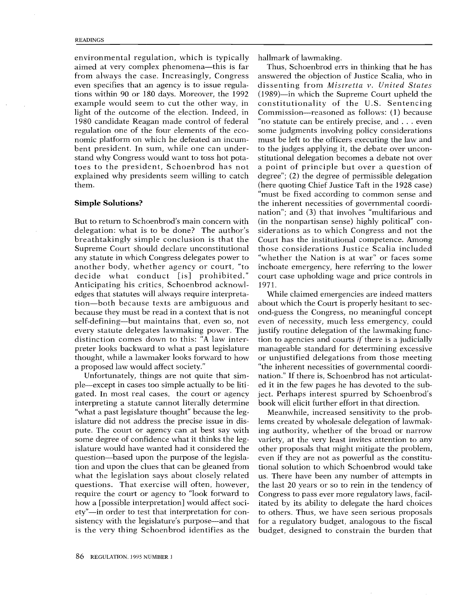bent president. In sum, while one can underexplained why presidents seem willing to catch deg nomic platform on which he defeated an incumfrom always the case. Increasingly, Congress ans environmental regulation, which is typically aimed at very complex phenomena-this is far even specifies that an agency is to issue regulations within 90 or 180 days. Moreover, the 1992 example would seem to cut the other way, in light of the outcome of the election. Indeed, in 1980 candidate Reagan made control of federal regulation one of the four elements of the ecostand why Congress would want to toss hot potatoes to the president, Schoenbrod has not them.

### Simple Solutions?

delegation: what is to be done? The author's side preter looks backward to what a past legislature – ma self-defining—but maintains that, even so, not ever any statute in which Congress delegates power to "wl tion-both because texts are ambiguous and edges that statutes will always require interpreta-<br>tion—both because texts are ambiguous and abor But to return to Schoenbrod's main concern with breathtakingly simple conclusion is that the Supreme Court should declare unconstitutional another body, whether agency or court, "to decide what conduct [is] prohibited." Anticipating his critics, Schoenbrod acknowlbecause they must be read in a context that is not every statute delegates lawmaking power. The distinction comes down to this: "A law interthought, while a lawmaker looks forward to how a proposed law would affect society."

some degree of confidence what it thinks the leg-. l w 、, as re ta isl a く co ar ι re at it rt ir 」 e g ety"-in order to test that interpretation for con-CAD `CS islature would have wanted had it considered the oth tion and upon the clues that can be gleaned from tior Unfortunately, things are not quite that simple-except in cases too simple actually to be litigated. In most real cases, the court or agency interpreting a statute cannot literally determine "what a past legislature thought" because the legislature did not address the precise issue in dispute. The court or agency can at best say with question-based upon the purpose of the legislawhat the legislation says about closely related questions. That exercise will often, however, require the court or agency to "look forward to how a [possible interpretation] would affect socisistency with the legislature's purpose-and that is the very thing Schoenbrod identifies as the

the inherent necessities of governmental coordits S of teatin living in believe us direction error in the second team in the second team in the second team in the second team in the second team in the second team in the second team in the second team in the second team (],, j.. '.s ut free that is a free that is a free that is a free that is a free that is a free that is a free that is a free that is a free that is a free that is a free that is a free that is a free that is  $\frac{1}{\sqrt{2}}$ inchoate emergency, here referring to the lower  $\begin{bmatrix} d\\ \text{p} \end{bmatrix}$ <br>  $\begin{bmatrix} 1\\ \text{d} \end{bmatrix}$ d<br>!er a point of principle but over a question of "whether the Nation is at war" or faces some ti gu i-i-o-e griff go off 2) ii-fi-i-m n n n s = -s t er i-i- la cl = e e t er i-t e e e el h = e r = 1 oc ey ut h = t d t = 1 d t = 1 nation"; and (3) that involves "multifarious and Thus, Schoenbrod errs in thinking that he has answered the objection of Justice Scalia, who in dissenting from Mistretta v. United States (1989)-in which the Supreme Court upheld the constitutionality of the U.S. Sentencing Commission-reasoned as follows: (1) because "no statute can be entirely precise, and ... even some judgments involving policy considerations must be left to the officers executing the law and to the judges applying it, the debate over unconstitutional delegation becomes a debate not over degree"; (2) the degree of permissible delegation (here quoting Chief Justice Taft in the 1928 case) "must be fixed according to common sense and (in the nonpartisan sense) highly political" considerations as to which Congress and not the Court has the institutional competence. Among those considerations Justice Scalia included court case upholding wage and price controls in 1971.

ond-guess the Congress, no meaningful concept gr<br>mga<br>dareg ng<br>ose<br>ent<br>ent<br>d t even of necessity, much less emergency, could manageable standard for determining excessive While claimed emergencies are indeed matters about which the Court is properly hesitant to secjustify routine delegation of the lawmaking function to agencies and courts  $if$  there is a judicially or unjustified delegations from those meeting "the inherent necessities of governmental coordination." If there is, Schoenbrod has not articulated it in the few pages he has devoted to the subject. Perhaps interest spurred by Schoenbrod's book will elicit further effort in that direction.

other proposals that might mitigate the problem,<br>even if they are not as powerful as the constitutional solution to which Schoenbrod would take to others. Thus, we have seen serious proposals Meanwhile, increased sensitivity to the problems created by wholesale delegation of lawmaking authority, whether of the broad or narrow variety, at the very least invites attention to any even if they are not as powerful as the constituus. There have been any number of attempts in the last 20 years or so to rein in the tendency of Congress to pass ever more regulatory laws, facilitated by its ability to delegate the hard choices for a regulatory budget, analogous to the fiscal budget, designed to constrain the burden that